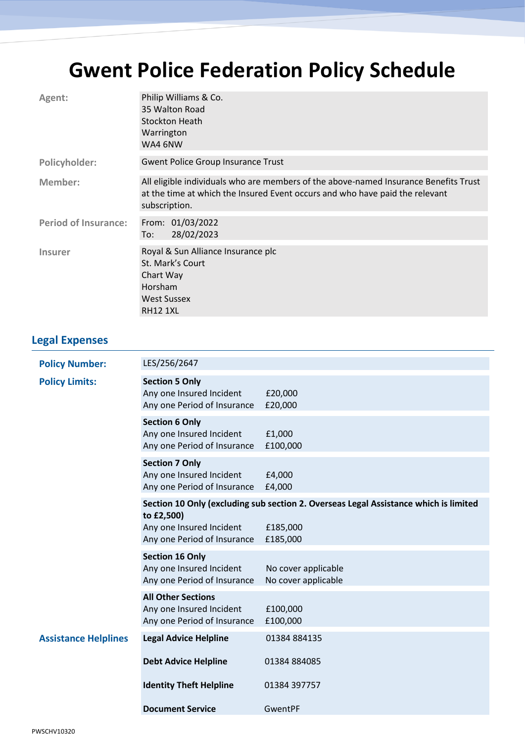## **Gwent Police Federation Policy Schedule**

| Agent:                      | Philip Williams & Co.<br>35 Walton Road<br><b>Stockton Heath</b><br>Warrington<br>WA4 6NW                                                                                             |
|-----------------------------|---------------------------------------------------------------------------------------------------------------------------------------------------------------------------------------|
| Policyholder:               | <b>Gwent Police Group Insurance Trust</b>                                                                                                                                             |
| Member:                     | All eligible individuals who are members of the above-named Insurance Benefits Trust<br>at the time at which the Insured Event occurs and who have paid the relevant<br>subscription. |
| <b>Period of Insurance:</b> | From: 01/03/2022<br>28/02/2023<br>To:                                                                                                                                                 |
| <b>Insurer</b>              | Royal & Sun Alliance Insurance plc<br>St. Mark's Court<br>Chart Way<br><b>Horsham</b><br><b>West Sussex</b><br><b>RH12 1XL</b>                                                        |

## **Legal Expenses**

| <b>Policy Number:</b>       | LES/256/2647                                                                         |                                                                                      |
|-----------------------------|--------------------------------------------------------------------------------------|--------------------------------------------------------------------------------------|
| <b>Policy Limits:</b>       | <b>Section 5 Only</b><br>Any one Insured Incident<br>Any one Period of Insurance     | £20,000<br>£20,000                                                                   |
|                             | <b>Section 6 Only</b><br>Any one Insured Incident<br>Any one Period of Insurance     | £1,000<br>£100,000                                                                   |
|                             | <b>Section 7 Only</b><br>Any one Insured Incident<br>Any one Period of Insurance     | £4,000<br>£4,000                                                                     |
|                             | to £2,500)                                                                           | Section 10 Only (excluding sub section 2. Overseas Legal Assistance which is limited |
|                             | Any one Insured Incident<br>Any one Period of Insurance                              | £185,000<br>£185,000                                                                 |
|                             | <b>Section 16 Only</b><br>Any one Insured Incident<br>Any one Period of Insurance    | No cover applicable<br>No cover applicable                                           |
|                             | <b>All Other Sections</b><br>Any one Insured Incident<br>Any one Period of Insurance | £100,000<br>£100,000                                                                 |
| <b>Assistance Helplines</b> | <b>Legal Advice Helpline</b>                                                         | 01384 884135                                                                         |
|                             | <b>Debt Advice Helpline</b>                                                          | 01384 884085                                                                         |
|                             | <b>Identity Theft Helpline</b>                                                       | 01384 397757                                                                         |
|                             | <b>Document Service</b>                                                              | GwentPF                                                                              |